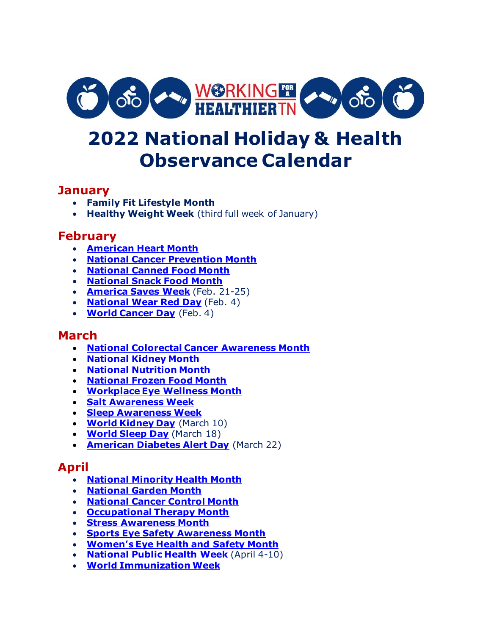

# **2022 National Holiday & Health Observance Calendar**

### **January**

- **Family Fit Lifestyle Month**
- **Healthy Weight Week** (third full week of January)

# **February**

- **[American Heart Month](https://www.nhlbi.nih.gov/health-topics/education-and-awareness/heart-month)**
- **[National Cancer Prevention Month](https://www.cdc.gov/cancer/dcpc/prevention/)**
- **[National Canned Food Month](https://fruitsandveggies.org/stories/5-facts-about-canned-foods/)**
- **[National Snack Food Month](https://www.myplate.gov/tip-sheet/healthy-snacking-myplate)**
- **[America Saves Week](https://americasavesweek.org/)** (Feb. 21-25)
- **[National Wear Red Day](https://www.goredforwomen.org/en/get-involved/give/wear-red-and-give)** (Feb. 4)
- **[World Cancer Day](https://www.worldcancerday.org/)** (Feb. 4)

## **March**

- **[National Colorectal Cancer Awareness Month](https://www.cdc.gov/cancer/dcpc/resources/features/colorectalawareness/index.htm)**
- **[National Kidney Month](https://www.kidney.org/content/national-kidney-month)**
- **[National Nutrition Month](https://www.eatright.org/food/resources/national-nutrition-month)**
- **[National Frozen Food Month](https://foodinsight.org/celebrate-national-frozen-food-month/)**
- **[Workplace Eye Wellness Month](https://preventblindness.org/march-is-workplace-eye-wellness-month/)**
- **[Salt Awareness Week](https://www.paho.org/en/campaigns/salt-awareness-week-2021-more-flavor-less-salt)**
- **[Sleep Awareness Week](https://www.thensf.org/sleep-awareness-week/)**
- **[World Kidney Day](https://www.worldkidneyday.org/2022-campaign/)** (March 10)
- **[World Sleep Day](https://worldsleepday.org/)** (March 18)
- **[American Diabetes Alert Day](https://www.niddk.nih.gov/health-information/communication-programs/ndep/partner-community-organization-information/diabetes-alert-day)** (March 22)

#### **April**

- **[National Minority Health Month](https://www.nimhd.nih.gov/programs/edu-training/nmhm/)**
- **[National Garden Month](https://www.nal.usda.gov/topics/home-gardening)**
- **[National Cancer Control Month](https://www.nfcr.org/blog/cancer-control-month-how-you-can-make-a-difference/)**
- **[Occupational Therapy Month](https://www.aota.org/Conference-Events/OTMonth.aspx)**
- **[Stress Awareness Month](https://www.stress.org/)**
- **[Sports Eye Safety Awareness Month](https://www.aao.org/eye-health/tips-prevention/sports-eye-injuries-infographic-3)**
- **[Women's Eye Health and Sa](https://preventblindness.org/2021-womens-eye-health-month/)fety Month**
- **[National Public Health Week](http://www.nphw.org/)** (April 4-10)
- **[World Immunization Week](https://www.cdc.gov/globalhealth/immunization/wiw/index.html)**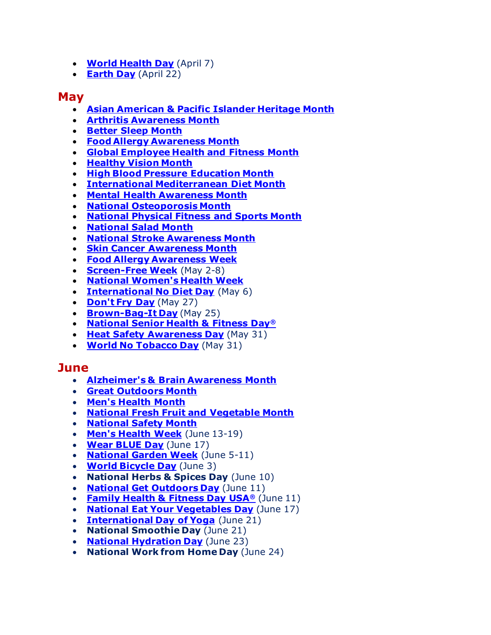- **[World Health Day](https://www.who.int/campaigns/world-health-day)** (April 7)
- **[Earth Day](https://www.earthday.org/)** (April 22)

#### **May**

- **Asian American & [Pacific Islander Heritage Month](https://www.cdc.gov/healthequity/features/asian-pacific/index.html)**
- **[Arthritis Awareness Month](https://www.cdc.gov/arthritis/communications/features/arthritis-awareness.html)**
- **[Better Sleep Month](http://www.bettersleep.org/)**
- **Food [Allergy Awareness Month](https://www.foodallergyawareness.org/education/food-allergy-awareness-initiatives/food-allergy-awareness-week-month/)**
- **[Global Employee Health and Fitness Month](http://www.healthandfitnessmonth.com/)**
- **[Healthy Vision Month](https://nei.nih.gov/hvm)**
- **[High Blood Pressure Education Month](https://www.nhlbi.nih.gov/education/high-blood-pressure/high-blood-pressure-education-month)**
- **[International Mediterranean Diet Month](https://oldwayspt.org/programs/mediterranean-program/international-mediterranean-diet-month)**
- **[Mental Health](https://www.nami.org/Get-Involved/Awareness-Events/Mental-Health-Month) Awareness Month**
- **[National Osteoporosis Month](https://www.bonehealthandosteoporosis.org/national-osteoporosis-month/)**
- **[National Physical Fitness](https://health.gov/news/202105/move-may-and-celebrate-national-physical-fitness-sports-month) and Sports Month**
- **[National Salad Month](https://fruitsandveggies.org/stories/celebrate-national-salad-month/)**
- **[National Stroke Awareness Month](http://www.ninds.nih.gov/News-Events/Events-Proceedings/Events/Stroke-Awareness-Month)**
- **[Skin Cancer](https://www.cdc.gov/cancer/dcpc/resources/features/skincancer/index.htm) Awareness Month**
- **[Food Allergy Awareness Week](https://www.foodallergyawareness.org/education/food-allergy-awareness-initiatives/food-allergy-awareness-week-month/)**
- **[Screen-Free Week](https://www.screenfree.org/)** (May 2-8)
- **[National Women's Health Week](http://www.womenshealth.gov/nwhw)**
- **[International No Diet Day](https://www.nationaleatingdisorders.org/nodietday)** (May 6)
- **[Don't Fry Day](http://www.skincancerprevention.org/programs/dont-fry-day)** (May 27)
- **[Brown-Bag-It Day](https://www.eatright.org/food/planning-and-prep/snack-and-meal-ideas/banishing-brown-bag-boredom)** (May 25)
- **[National Senior Health & Fitness Day](http://www.fitnessday.com/)®**
- **[Heat Safety Awareness Day](https://www.weather.gov/rah/heat)** (May 31)
- **[World No Tobacco Day](https://www.who.int/campaigns/world-no-tobacco-day)** (May 31)

#### **June**

- **[Alzheimer's & Brain Awareness Month](http://www.alz.org/abam)**
- **[Great Outdoors Month](https://www.doi.gov/blog/how-will-you-celebrate-great-outdoors-month)**
- **[Men's Health Month](https://minorityhealth.hhs.gov/omh/content.aspx?ID=10238&lvl=2&lvlid=12)**
- **[National Fresh Fruit and Vegetable Month](https://fruitsandveggies.org/stories/its-june-and-fresh-rules/)**
- **[National Safety Month](https://www.nsc.org/workplace/national-safety-month)**
- **[Men's Health Week](https://menshealthmonth.org/week.html)** (June 13-19)
- **[Wear BLUE Day](http://www.menshealthnetwork.org/wearblue/friday/)** (June 17)
- **[National Garden Week](http://gardenclub.org/projects/national-garden-week.aspx)** (June 5-11)
- **[World Bicycle Day](https://www.un.org/en/observances/bicycle-day)** (June 3)
- **National Herbs & Spices Day** (June 10)
- **[National Get Outdoors Day](https://www.nps.gov/articles/great-outdoors-month.htm)** (June 11)
- **[Family Health & Fitness Day USA](https://www.nrpa.org/events/family-fitness-day/)®** (June 11)
- **[National Eat Your Vegetables Day](https://www.myplate.gov/eat-healthy/vegetables)** (June 17)
- **[International Day of Yoga](https://www.un.org/en/observances/yoga-day)** (June 21)
- **National Smoothie Day** (June 21)
- **[National Hydration Day](https://www.eatright.org/food/nutrition/healthy-eating/how-much-water-do-you-need)** (June 23)
- **National Work from Home Day** (June 24)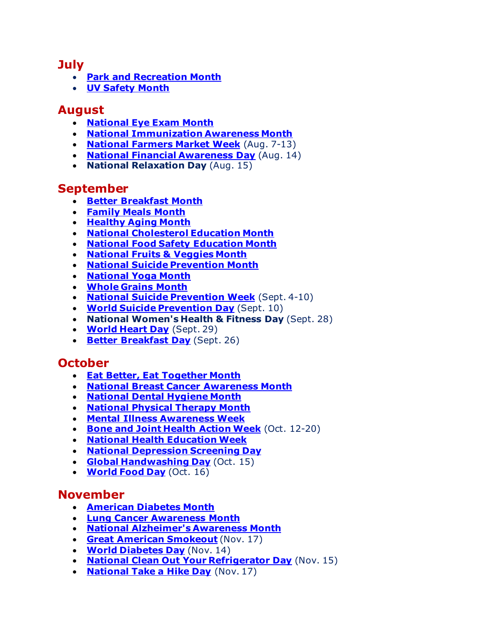#### **July**

- **[Park and Recreation Month](https://www.nrpa.org/events/july/)**
- **[UV Safety Month](https://www.cancer.org/healthy/be-safe-in-sun.html)**

## **August**

- **[National Eye Exam Month](https://www.nei.nih.gov/learn-about-eye-health/healthy-vision/get-dilated-eye-exam)**
- **[National Immunization Awareness Month](https://www.cdc.gov/vaccines/events/niam/index.html)**
- **[National](https://farmersmarketcoalition.org/national-farmers-market-week/) Farmers Market Week** (Aug. 7-13)
- **[National Financial Awareness Day](https://www.tn.gov/commerce/blog/2021/8/11/celebrate-national-financial-awareness-day-with-a-financial-plan.html)** (Aug. 14)
- **National Relaxation Day** (Aug. 15)

#### **September**

- **[Better Breakfast Month](https://www.eatright.org/food/planning-and-prep/snack-and-meal-ideas/6-tips-for-better-breakfasts)**
- **[Family](https://www.fmi.org/family-meals-movement) Meals Month**
- **[Healthy](https://www.nei.nih.gov/learn-about-eye-health/outreach-campaigns-and-resources/vision-and-aging-resources/healthy-aging-month) Aging Month**
- **[National Cholesterol Education Month](https://www.cdc.gov/cholesterol/communications-kit.htm)**
- **National Food Safety [Education](https://www.cdc.gov/foodsafety/education-month.html) Month**
- **[National Fruits & Veggies Month](https://fruitsandveggies.org/stories/nfvm/)**
- **[National Suicide Prevention Month](https://suicidepreventionlifeline.org/promote-national-suicide-prevention-month/)**
- **[National](https://www.nccih.nih.gov/health/yoga-what-you-need-to-know) Yoga Month**
- **[Whole](https://wholegrainscouncil.org/get-involved/celebrate-whole-grains-month-september) Grains Month**
- **National Suicide [Prevention](https://afsp.org/national-suicide-prevention-week) Week** (Sept. 4-10)
- **World Suicide [Prevention](https://suicidepreventionlifeline.org/) Day** (Sept. 10)
- **National Women's Health & Fitness Day** (Sept. 28)
- **[World](http://www.worldheartday.org/) Heart Day** (Sept. 29)
- **[Better Breakfast Day](https://www.eatright.org/food/planning-and-prep/snack-and-meal-ideas/6-tips-for-better-breakfasts)** (Sept. 26)

## **October**

- **Eat Better, Eat [Together](https://www.dhs.gov/employee-resources/blog/2020/08/25/benefits-family-meals) Month**
- **National Breast Cancer [Awareness](https://www.cancer.org/cancer/breast-cancer.html) Month**
- **[National](https://www.adha.org/national-dental-hygiene-month) Dental Hygiene Month**
- **[National](https://www.apta.org/national-physical-therapy-month) Physical Therapy Month**
- **Mental Illness [Awareness](https://www.nami.org/Get-Involved/Raise-Awareness/Awareness-Events/Mental-Illness-Awareness-Week) Week**
- **Bone and Joint [Health](https://www.usbji.org/programs/public-education-programs/action-week) Action Week** (Oct. 12-20)
- **National Health [Education](http://www.sophe.org/focus-areas/national-health-education-week/) Week**
- **National [Depression](https://www.mhanational.org/national-depression-screening-day) Screening Day**
- **Global [Handwashing](https://www.cdc.gov/handwashing/global-handwashing-day.html) Day** (Oct. 15)
- **[World](http://www.fao.org/world-food-day/home/en/) Food Day** (Oct. 16)

#### **November**

- **[American](https://www.diabetes.org/community/american-diabetes-month) Diabetes Month**
- **Lung Cancer [Awareness](https://www.lung.org/lung-force/about-lung-force/featured-campaigns/lung-cancer-awareness-month) Month**
- **National [Alzheimer's](https://alzfdn.org/alzawarenessmonth/) Awareness Month**
- **Great American [Smokeout](http://www.cancer.org/healthy/stayawayfromtobacco/greatamericansmokeout/)** (Nov. 17)
- **World [Diabetes](https://worlddiabetesday.org/) Day** (Nov. 14)
- **[National Clean Out Your Refrigerator Day](https://www.cdc.gov/foodsafety/pdfs/5-steps-to-clean-your-refrigerator.pdf)** (Nov. 15)
- **[National Take a Hike Day](https://americanhiking.org/national-take-hike-day/)** (Nov. 17)